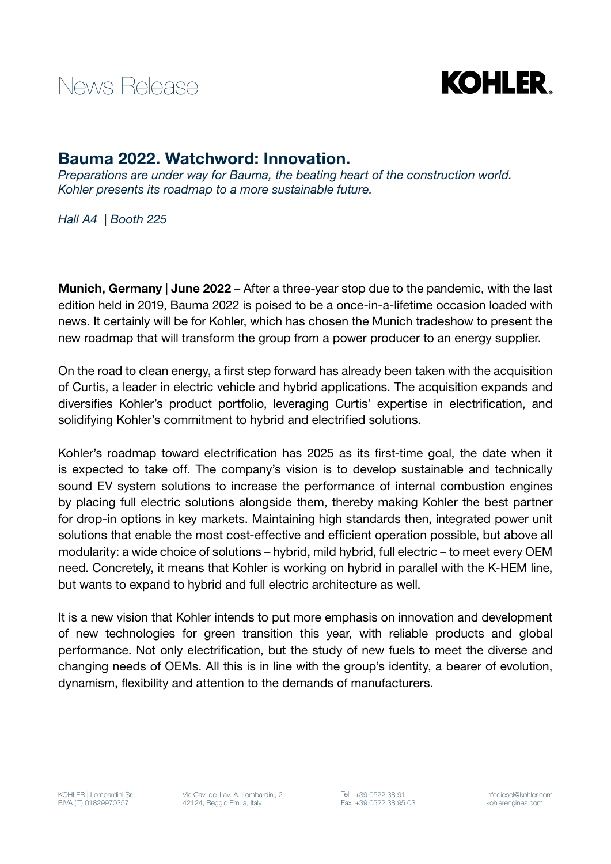



## Bauma 2022. Watchword: Innovation.

*Preparations are under way for Bauma, the beating heart of the construction world. Kohler presents its roadmap to a more sustainable future.*

*Hall A4 | Booth 225*

Munich, Germany | June 2022 – After a three-year stop due to the pandemic, with the last edition held in 2019, Bauma 2022 is poised to be a once-in-a-lifetime occasion loaded with news. It certainly will be for Kohler, which has chosen the Munich tradeshow to present the new roadmap that will transform the group from a power producer to an energy supplier.

On the road to clean energy, a first step forward has already been taken with the acquisition of Curtis, a leader in electric vehicle and hybrid applications. The acquisition expands and diversifies Kohler's product portfolio, leveraging Curtis' expertise in electrification, and solidifying Kohler's commitment to hybrid and electrified solutions.

Kohler's roadmap toward electrification has 2025 as its first-time goal, the date when it is expected to take off. The company's vision is to develop sustainable and technically sound EV system solutions to increase the performance of internal combustion engines by placing full electric solutions alongside them, thereby making Kohler the best partner for drop-in options in key markets. Maintaining high standards then, integrated power unit solutions that enable the most cost-effective and efficient operation possible, but above all modularity: a wide choice of solutions – hybrid, mild hybrid, full electric – to meet every OEM need. Concretely, it means that Kohler is working on hybrid in parallel with the K-HEM line, but wants to expand to hybrid and full electric architecture as well.

It is a new vision that Kohler intends to put more emphasis on innovation and development of new technologies for green transition this year, with reliable products and global performance. Not only electrification, but the study of new fuels to meet the diverse and changing needs of OEMs. All this is in line with the group's identity, a bearer of evolution, dynamism, flexibility and attention to the demands of manufacturers.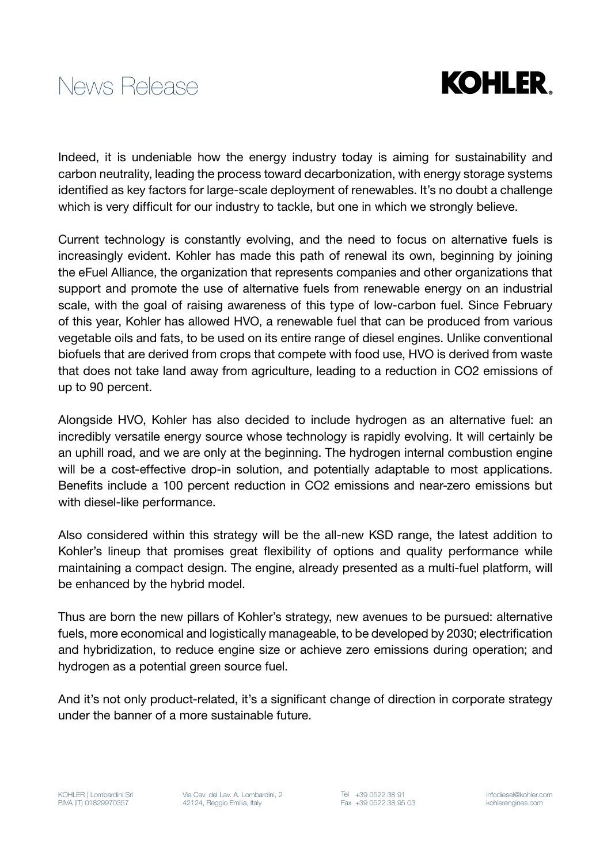



Indeed, it is undeniable how the energy industry today is aiming for sustainability and carbon neutrality, leading the process toward decarbonization, with energy storage systems identified as key factors for large-scale deployment of renewables. It's no doubt a challenge which is very difficult for our industry to tackle, but one in which we strongly believe.

Current technology is constantly evolving, and the need to focus on alternative fuels is increasingly evident. Kohler has made this path of renewal its own, beginning by joining the eFuel Alliance, the organization that represents companies and other organizations that support and promote the use of alternative fuels from renewable energy on an industrial scale, with the goal of raising awareness of this type of low-carbon fuel. Since February of this year, Kohler has allowed HVO, a renewable fuel that can be produced from various vegetable oils and fats, to be used on its entire range of diesel engines. Unlike conventional biofuels that are derived from crops that compete with food use, HVO is derived from waste that does not take land away from agriculture, leading to a reduction in CO2 emissions of up to 90 percent.

Alongside HVO, Kohler has also decided to include hydrogen as an alternative fuel: an incredibly versatile energy source whose technology is rapidly evolving. It will certainly be an uphill road, and we are only at the beginning. The hydrogen internal combustion engine will be a cost-effective drop-in solution, and potentially adaptable to most applications. Benefits include a 100 percent reduction in CO2 emissions and near-zero emissions but with diesel-like performance.

Also considered within this strategy will be the all-new KSD range, the latest addition to Kohler's lineup that promises great flexibility of options and quality performance while maintaining a compact design. The engine, already presented as a multi-fuel platform, will be enhanced by the hybrid model.

Thus are born the new pillars of Kohler's strategy, new avenues to be pursued: alternative fuels, more economical and logistically manageable, to be developed by 2030; electrification and hybridization, to reduce engine size or achieve zero emissions during operation; and hydrogen as a potential green source fuel.

And it's not only product-related, it's a significant change of direction in corporate strategy under the banner of a more sustainable future.